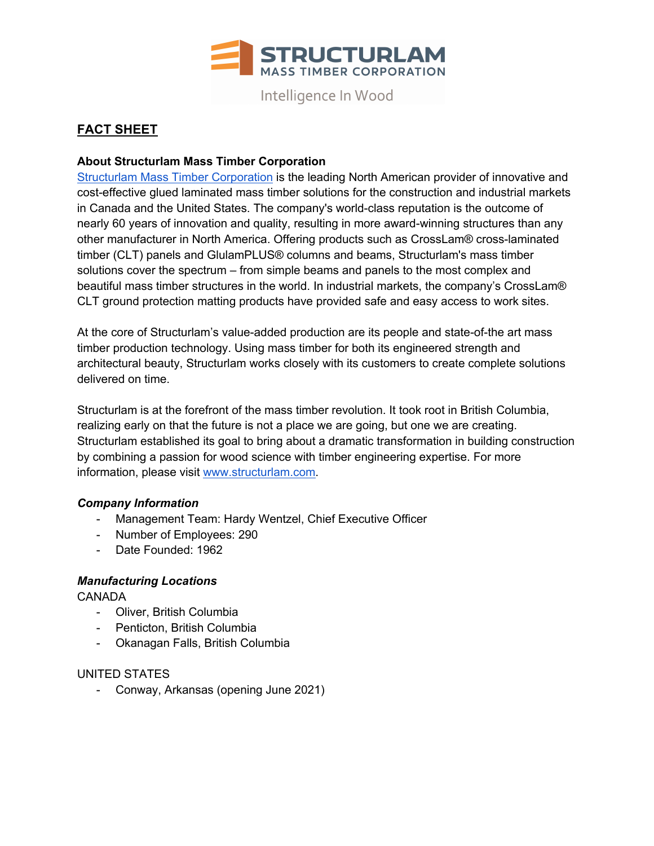

Intelligence In Wood

# **FACT SHEET**

## **About Structurlam Mass Timber Corporation**

Structurlam Mass Timber Corporation is the leading North American provider of innovative and cost-effective glued laminated mass timber solutions for the construction and industrial markets in Canada and the United States. The company's world-class reputation is the outcome of nearly 60 years of innovation and quality, resulting in more award-winning structures than any other manufacturer in North America. Offering products such as CrossLam® cross-laminated timber (CLT) panels and GlulamPLUS® columns and beams, Structurlam's mass timber solutions cover the spectrum – from simple beams and panels to the most complex and beautiful mass timber structures in the world. In industrial markets, the company's CrossLam® CLT ground protection matting products have provided safe and easy access to work sites.

At the core of Structurlam's value-added production are its people and state-of-the art mass timber production technology. Using mass timber for both its engineered strength and architectural beauty, Structurlam works closely with its customers to create complete solutions delivered on time.

Structurlam is at the forefront of the mass timber revolution. It took root in British Columbia, realizing early on that the future is not a place we are going, but one we are creating. Structurlam established its goal to bring about a dramatic transformation in building construction by combining a passion for wood science with timber engineering expertise. For more information, please visit www.structurlam.com.

## *Company Information*

- Management Team: Hardy Wentzel, Chief Executive Officer
- Number of Employees: 290
- Date Founded: 1962

## *Manufacturing Locations*

**CANADA** 

- Oliver, British Columbia
- Penticton, British Columbia
- Okanagan Falls, British Columbia

#### UNITED STATES

- Conway, Arkansas (opening June 2021)